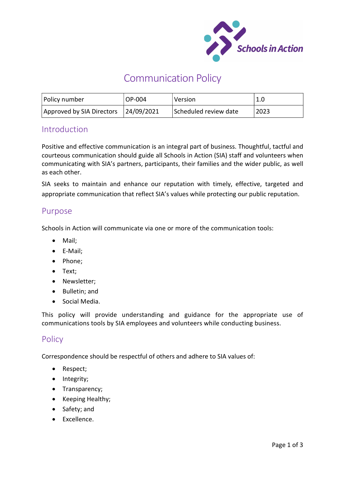

# Communication Policy

| Policy number             | OP-004     | Version               | 1.0  |
|---------------------------|------------|-----------------------|------|
| Approved by SIA Directors | 24/09/2021 | Scheduled review date | 2023 |

# **Introduction**

Positive and effective communication is an integral part of business. Thoughtful, tactful and courteous communication should guide all Schools in Action (SIA) staff and volunteers when communicating with SIA's partners, participants, their families and the wider public, as well as each other.

SIA seeks to maintain and enhance our reputation with timely, effective, targeted and appropriate communication that reflect SIA's values while protecting our public reputation.

## Purpose

Schools in Action will communicate via one or more of the communication tools:

- Mail:
- E-Mail;
- Phone;
- Text;
- Newsletter:
- Bulletin: and
- Social Media.

This policy will provide understanding and guidance for the appropriate use of communications tools by SIA employees and volunteers while conducting business.

# Policy

Correspondence should be respectful of others and adhere to SIA values of:

- Respect;
- Integrity;
- Transparency;
- Keeping Healthy;
- Safety; and
- Excellence.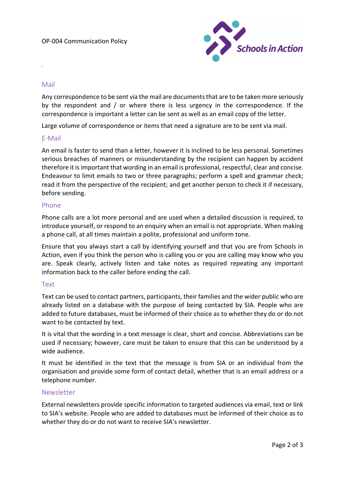

## Mail

\

Any correspondence to be sent via the mail are documents that are to be taken more seriously by the respondent and / or where there is less urgency in the correspondence. If the correspondence is important a letter can be sent as well as an email copy of the letter.

Large volume of correspondence or items that need a signature are to be sent via mail.

### E-Mail

An email is faster to send than a letter, however it is inclined to be less personal. Sometimes serious breaches of manners or misunderstanding by the recipient can happen by accident therefore it is important that wording in an email is professional, respectful, clear and concise. Endeavour to limit emails to two or three paragraphs; perform a spell and grammar check; read it from the perspective of the recipient; and get another person to check it if necessary, before sending.

#### Phone

Phone calls are a lot more personal and are used when a detailed discussion is required, to introduce yourself, or respond to an enquiry when an email is not appropriate. When making a phone call, at all times maintain a polite, professional and uniform tone.

Ensure that you always start a call by identifying yourself and that you are from Schools in Action, even if you think the person who is calling you or you are calling may know who you are. Speak clearly, actively listen and take notes as required repeating any important information back to the caller before ending the call.

### Text

Text can be used to contact partners, participants, their families and the wider public who are already listed on a database with the purpose of being contacted by SIA. People who are added to future databases, must be informed of their choice as to whether they do or do not want to be contacted by text.

It is vital that the wording in a text message is clear, short and concise. Abbreviations can be used if necessary; however, care must be taken to ensure that this can be understood by a wide audience.

It must be identified in the text that the message is from SIA or an individual from the organisation and provide some form of contact detail, whether that is an email address or a telephone number.

## Newsletter

External newsletters provide specific information to targeted audiences via email, text or link to SIA's website. People who are added to databases must be informed of their choice as to whether they do or do not want to receive SIA's newsletter.